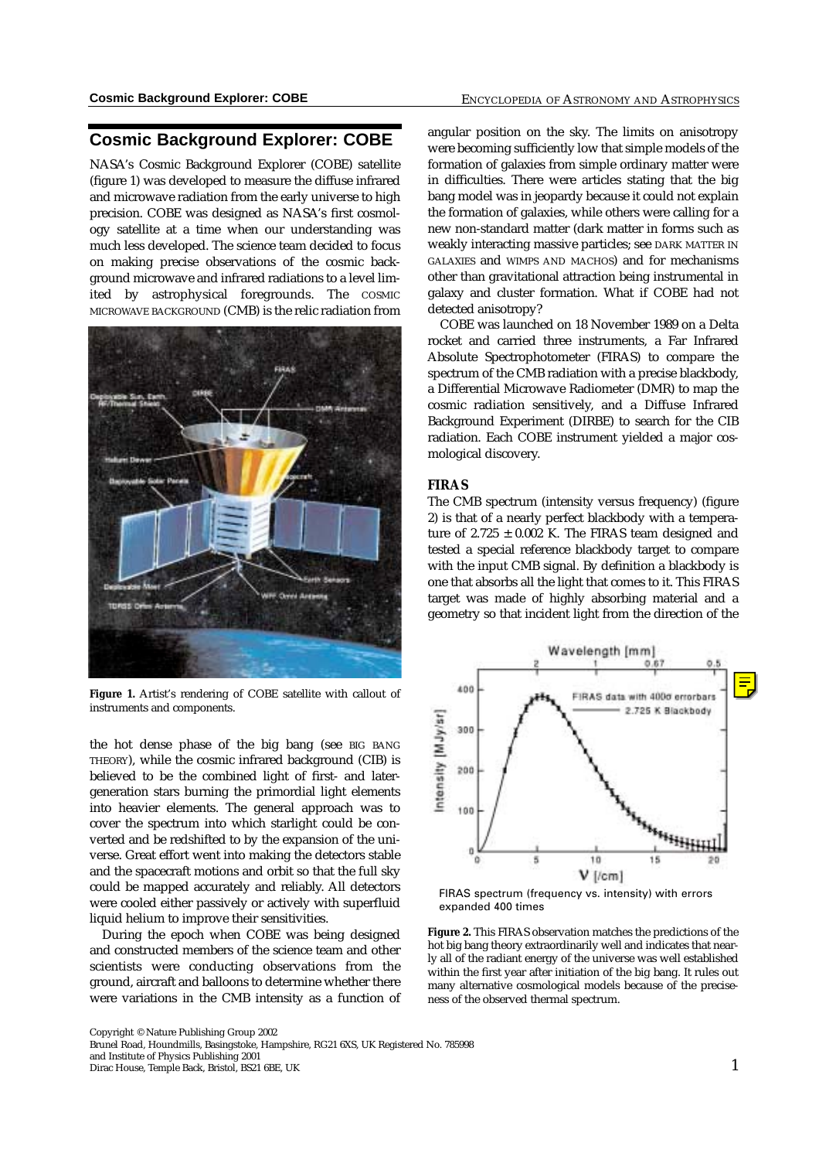# **Cosmic Background Explorer: COBE**

NASA's Cosmic Background Explorer (COBE) satellite (figure 1) was developed to measure the diffuse infrared and microwave radiation from the early universe to high precision. COBE was designed as NASA's first cosmology satellite at a time when our understanding was much less developed. The science team decided to focus on making precise observations of the cosmic background microwave and infrared radiations to a level limited by astrophysical foregrounds. The COSMIC MICROWAVE BACKGROUND (CMB) is the relic radiation from



**Figure 1.** Artist's rendering of COBE satellite with callout of instruments and components.

the hot dense phase of the big bang (see BIG BANG THEORY), while the cosmic infrared background (CIB) is believed to be the combined light of first- and latergeneration stars burning the primordial light elements into heavier elements. The general approach was to cover the spectrum into which starlight could be converted and be redshifted to by the expansion of the universe. Great effort went into making the detectors stable and the spacecraft motions and orbit so that the full sky could be mapped accurately and reliably. All detectors were cooled either passively or actively with superfluid liquid helium to improve their sensitivities.

During the epoch when COBE was being designed and constructed members of the science team and other scientists were conducting observations from the ground, aircraft and balloons to determine whether there were variations in the CMB intensity as a function of angular position on the sky. The limits on anisotropy were becoming sufficiently low that simple models of the formation of galaxies from simple ordinary matter were in difficulties. There were articles stating that the big bang model was in jeopardy because it could not explain the formation of galaxies, while others were calling for a new non-standard matter (dark matter in forms such as weakly interacting massive particles; see DARK MATTER IN GALAXIES and WIMPS AND MACHOS) and for mechanisms other than gravitational attraction being instrumental in galaxy and cluster formation. What if COBE had not detected anisotropy?

COBE was launched on 18 November 1989 on a Delta rocket and carried three instruments, a Far Infrared Absolute Spectrophotometer (FIRAS) to compare the spectrum of the CMB radiation with a precise blackbody, a Differential Microwave Radiometer (DMR) to map the cosmic radiation sensitively, and a Diffuse Infrared Background Experiment (DIRBE) to search for the CIB radiation. Each COBE instrument yielded a major cosmological discovery.

### **FIRAS**

The CMB spectrum (intensity versus frequency) (figure 2) is that of a nearly perfect blackbody with a temperature of  $2.725 \pm 0.002$  K. The FIRAS team designed and tested a special reference blackbody target to compare with the input CMB signal. By definition a blackbody is one that absorbs all the light that comes to it. This FIRAS target was made of highly absorbing material and a geometry so that incident light from the direction of the



FIRAS spectrum (frequency vs. intensity) with errors expanded 400 times

**Figure 2.** This FIRAS observation matches the predictions of the hot big bang theory extraordinarily well and indicates that nearly all of the radiant energy of the universe was well established within the first year after initiation of the big bang. It rules out many alternative cosmological models because of the preciseness of the observed thermal spectrum.

Copyright © Nature Publishing Group 2002

Brunel Road, Houndmills, Basingstoke, Hampshire, RG21 6XS, UK Registered No. 785998

and Institute of Physics Publishing 2001 Dirac House, Temple Back, Bristol, BS21 6BE, UK 1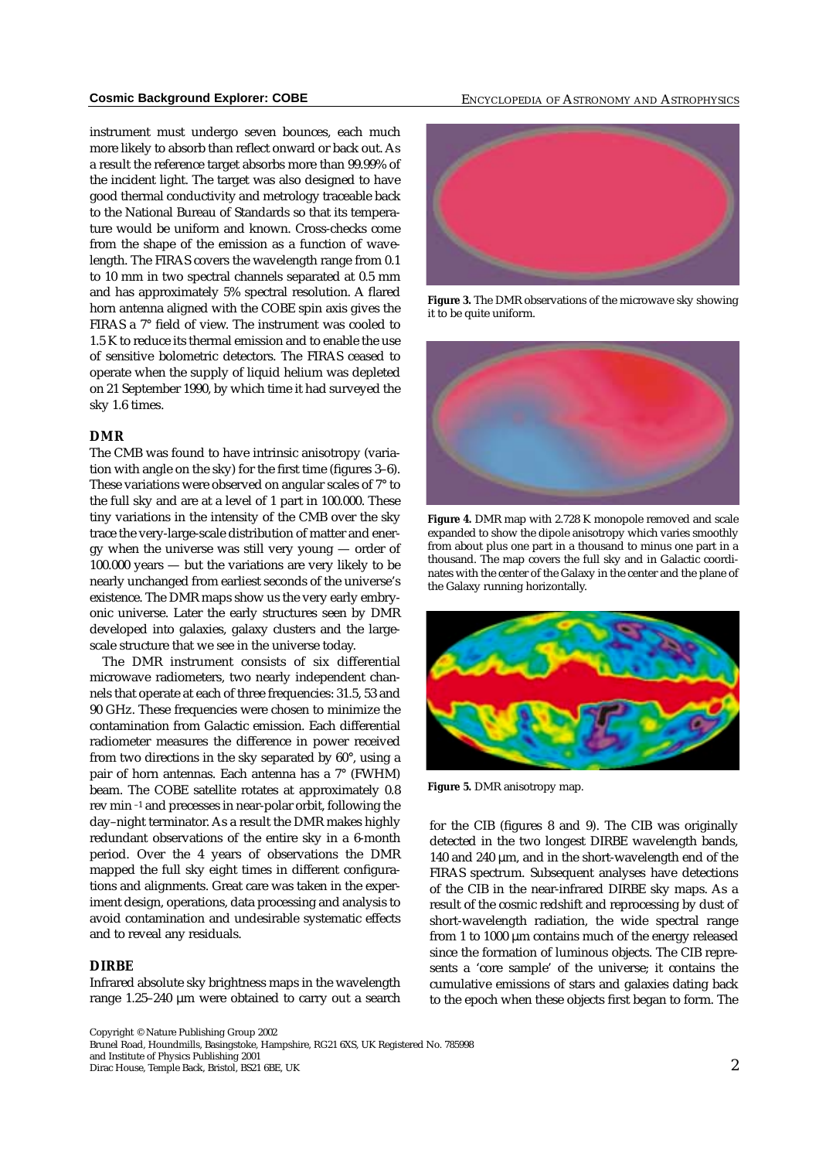instrument must undergo seven bounces, each much more likely to absorb than reflect onward or back out. As a result the reference target absorbs more than 99.99% of the incident light. The target was also designed to have good thermal conductivity and metrology traceable back to the National Bureau of Standards so that its temperature would be uniform and known. Cross-checks come from the shape of the emission as a function of wavelength. The FIRAS covers the wavelength range from 0.1 to 10 mm in two spectral channels separated at 0.5 mm and has approximately 5% spectral resolution. A flared horn antenna aligned with the COBE spin axis gives the FIRAS a 7° field of view. The instrument was cooled to 1.5 K to reduce its thermal emission and to enable the use of sensitive bolometric detectors. The FIRAS ceased to operate when the supply of liquid helium was depleted on 21 September 1990, by which time it had surveyed the sky 1.6 times.

### **DMR**

The CMB was found to have intrinsic anisotropy (variation with angle on the sky) for the first time (figures 3–6). These variations were observed on angular scales of 7° to the full sky and are at a level of 1 part in 100.000. These tiny variations in the intensity of the CMB over the sky trace the very-large-scale distribution of matter and energy when the universe was still very young — order of 100.000 years — but the variations are very likely to be nearly unchanged from earliest seconds of the universe's existence. The DMR maps show us the very early embryonic universe. Later the early structures seen by DMR developed into galaxies, galaxy clusters and the largescale structure that we see in the universe today.

The DMR instrument consists of six differential microwave radiometers, two nearly independent channels that operate at each of three frequencies: 31.5, 53 and 90 GHz. These frequencies were chosen to minimize the contamination from Galactic emission. Each differential radiometer measures the difference in power received from two directions in the sky separated by 60°, using a pair of horn antennas. Each antenna has a 7° (FWHM) beam. The COBE satellite rotates at approximately 0.8 rev min –1 and precesses in near-polar orbit, following the day–night terminator. As a result the DMR makes highly redundant observations of the entire sky in a 6-month period. Over the 4 years of observations the DMR mapped the full sky eight times in different configurations and alignments. Great care was taken in the experiment design, operations, data processing and analysis to avoid contamination and undesirable systematic effects and to reveal any residuals.

#### **DIRBE**

Infrared absolute sky brightness maps in the wavelength range 1.25–240 µm were obtained to carry out a search

## **Cosmic Background Explorer: COBE** ENCYCLOPEDIA OF ASTRONOMY AND ASTROPHYSICS



**Figure 3.** The DMR observations of the microwave sky showing it to be quite uniform.



**Figure 4.** DMR map with 2.728 K monopole removed and scale expanded to show the dipole anisotropy which varies smoothly from about plus one part in a thousand to minus one part in a thousand. The map covers the full sky and in Galactic coordinates with the center of the Galaxy in the center and the plane of the Galaxy running horizontally.



**Figure 5.** DMR anisotropy map.

for the CIB (figures 8 and 9). The CIB was originally detected in the two longest DIRBE wavelength bands, 140 and 240  $\mu$ m, and in the short-wavelength end of the FIRAS spectrum. Subsequent analyses have detections of the CIB in the near-infrared DIRBE sky maps. As a result of the cosmic redshift and reprocessing by dust of short-wavelength radiation, the wide spectral range from 1 to 1000  $\mu$ m contains much of the energy released since the formation of luminous objects. The CIB represents a 'core sample' of the universe; it contains the cumulative emissions of stars and galaxies dating back to the epoch when these objects first began to form. The

Copyright © Nature Publishing Group 2002

Brunel Road, Houndmills, Basingstoke, Hampshire, RG21 6XS, UK Registered No. 785998 and Institute of Physics Publishing 2001

and institute of Physics Publishing 2001<br>Dirac House, Temple Back, Bristol, BS21 6BE, UK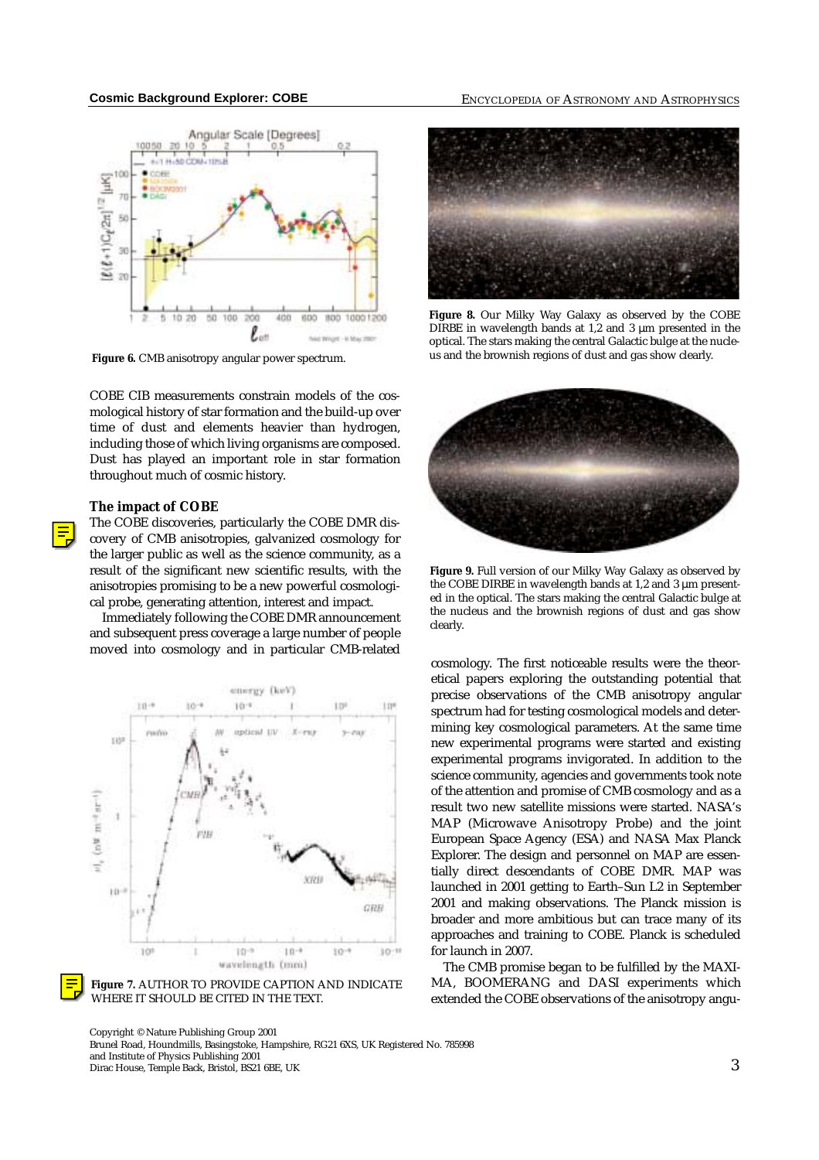

**Figure 6.** CMB anisotropy angular power spectrum.

COBE CIB measurements constrain models of the cosmological history of star formation and the build-up over time of dust and elements heavier than hydrogen, including those of which living organisms are composed. Dust has played an important role in star formation throughout much of cosmic history.

### **The impact of COBE**



The COBE discoveries, particularly the COBE DMR discovery of CMB anisotropies, galvanized cosmology for the larger public as well as the science community, as a result of the significant new scientific results, with the anisotropies promising to be a new powerful cosmological probe, generating attention, interest and impact.

Immediately following the COBE DMR announcement and subsequent press coverage a large number of people moved into cosmology and in particular CMB-related





Copyright © Nature Publishing Group 2001 Brunel Road, Houndmills, Basingstoke, Hampshire, RG21 6XS, UK Registered No. 785998 and Institute of Physics Publishing 2001 and institute of Physics Publishing 2001<br>Dirac House, Temple Back, Bristol, BS21 6BE, UK

## **Cosmic Background Explorer: COBE** ENCYCLOPEDIA OF ASTRONOMY AND ASTROPHYSICS



**Figure 8.** Our Milky Way Galaxy as observed by the COBE DIRBE in wavelength bands at  $1,2$  and  $3 \mu$ m presented in the optical. The stars making the central Galactic bulge at the nucleus and the brownish regions of dust and gas show clearly.



**Figure 9.** Full version of our Milky Way Galaxy as observed by the COBE DIRBE in wavelength bands at 1,2 and 3  $\mu$ m presented in the optical. The stars making the central Galactic bulge at the nucleus and the brownish regions of dust and gas show clearly.

cosmology. The first noticeable results were the theoretical papers exploring the outstanding potential that precise observations of the CMB anisotropy angular spectrum had for testing cosmological models and determining key cosmological parameters. At the same time new experimental programs were started and existing experimental programs invigorated. In addition to the science community, agencies and governments took note of the attention and promise of CMB cosmology and as a result two new satellite missions were started. NASA's MAP (Microwave Anisotropy Probe) and the joint European Space Agency (ESA) and NASA Max Planck Explorer. The design and personnel on MAP are essentially direct descendants of COBE DMR. MAP was launched in 2001 getting to Earth–Sun L2 in September 2001 and making observations. The Planck mission is broader and more ambitious but can trace many of its approaches and training to COBE. Planck is scheduled for launch in 2007.

The CMB promise began to be fulfilled by the MAXI-MA, BOOMERANG and DASI experiments which extended the COBE observations of the anisotropy angu-